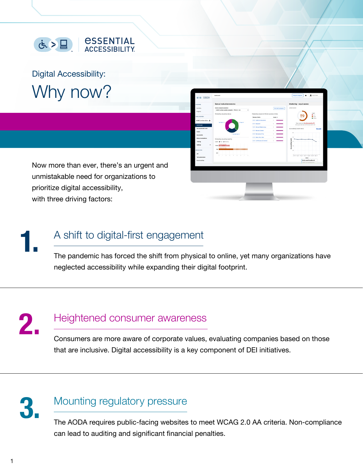

Digital Accessibility: Why now?

Now more than ever, there's an urgent and unmistakable need for organizations to prioritize digital accessibility, with three driving factors:

# **1.** A shift to digital-first engagement

The pandemic has forced the shift from physical to online, yet many organizations have neglected accessibility while expanding their digital footprint.

**2.** Heightened consumer awareness Consumers are more aware of corporate values, evaluating companies based on those

that are inclusive. Digital accessibility is a key component of DEI initiatives.



### **3.** Mounting regulatory pressure

The AODA requires public-facing websites to meet WCAG 2.0 AA criteria. Non-compliance can lead to auditing and significant financial penalties.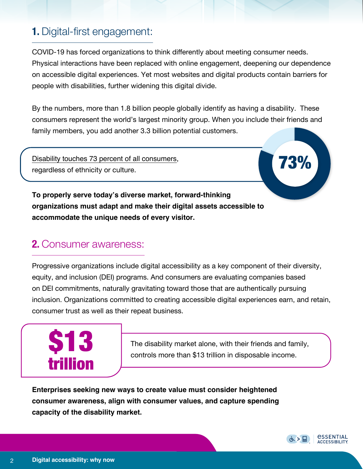## **1.** Digital-first engagement:

COVID-19 has forced organizations to think differently about meeting consumer needs. Physical interactions have been replaced with online engagement, deepening our dependence on accessible digital experiences. Yet most websites and digital products contain barriers for people with disabilities, further widening this digital divide.

By the numbers, more than 1.8 billion people globally identify as having a disability. These consumers represent the world's largest minority group. When you include their friends and family members, you add another 3.3 billion potential customers.

[Disability touches 73 percent of all consumers](http://rod-group.com/sites/default/files/Summary%20Report%20-%20The%20Global%20Economics%20of%20Disability%202020.pdf),<br>regardless of ethnicity or culture.

**To properly serve today's diverse market, forward-thinking organizations must adapt and make their digital assets accessible to accommodate the unique needs of every visitor.**

### **2.** Consumer awareness:

Progressive organizations include digital accessibility as a key component of their diversity, equity, and inclusion (DEI) programs. And consumers are evaluating companies based on DEI commitments, naturally gravitating toward those that are authentically pursuing inclusion. Organizations committed to creating accessible digital experiences earn, and retain, consumer trust as well as their repeat business.



The disability market alone, with their friends and family, controls more than \$13 trillion in disposable income.

**Enterprises seeking new ways to create value must consider heightened consumer awareness, align with consumer values, and capture spending capacity of the disability market.**